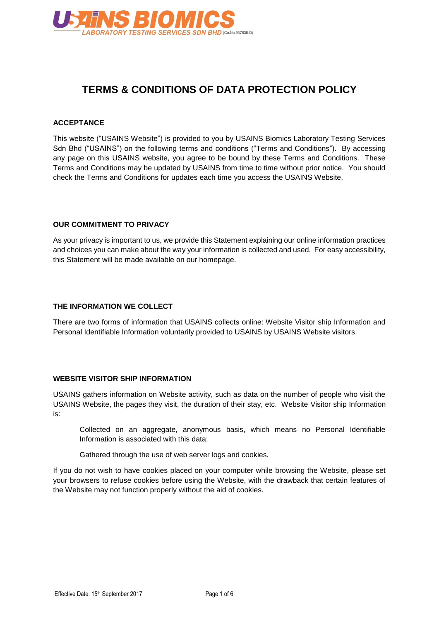

# **TERMS & CONDITIONS OF DATA PROTECTION POLICY**

#### **ACCEPTANCE**

This website ("USAINS Website") is provided to you by USAINS Biomics Laboratory Testing Services Sdn Bhd ("USAINS") on the following terms and conditions ("Terms and Conditions"). By accessing any page on this USAINS website, you agree to be bound by these Terms and Conditions. These Terms and Conditions may be updated by USAINS from time to time without prior notice. You should check the Terms and Conditions for updates each time you access the USAINS Website.

#### **OUR COMMITMENT TO PRIVACY**

As your privacy is important to us, we provide this Statement explaining our online information practices and choices you can make about the way your information is collected and used. For easy accessibility, this Statement will be made available on our homepage.

#### **THE INFORMATION WE COLLECT**

There are two forms of information that USAINS collects online: Website Visitor ship Information and Personal Identifiable Information voluntarily provided to USAINS by USAINS Website visitors.

#### **WEBSITE VISITOR SHIP INFORMATION**

USAINS gathers information on Website activity, such as data on the number of people who visit the USAINS Website, the pages they visit, the duration of their stay, etc. Website Visitor ship Information is:

Collected on an aggregate, anonymous basis, which means no Personal Identifiable Information is associated with this data;

Gathered through the use of web server logs and cookies.

If you do not wish to have cookies placed on your computer while browsing the Website, please set your browsers to refuse cookies before using the Website, with the drawback that certain features of the Website may not function properly without the aid of cookies.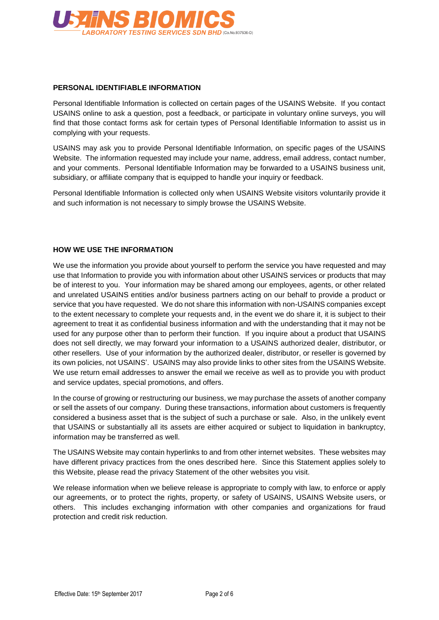

#### **PERSONAL IDENTIFIABLE INFORMATION**

Personal Identifiable Information is collected on certain pages of the USAINS Website. If you contact USAINS online to ask a question, post a feedback, or participate in voluntary online surveys, you will find that those contact forms ask for certain types of Personal Identifiable Information to assist us in complying with your requests.

USAINS may ask you to provide Personal Identifiable Information, on specific pages of the USAINS Website. The information requested may include your name, address, email address, contact number, and your comments. Personal Identifiable Information may be forwarded to a USAINS business unit, subsidiary, or affiliate company that is equipped to handle your inquiry or feedback.

Personal Identifiable Information is collected only when USAINS Website visitors voluntarily provide it and such information is not necessary to simply browse the USAINS Website.

## **HOW WE USE THE INFORMATION**

We use the information you provide about yourself to perform the service you have requested and may use that Information to provide you with information about other USAINS services or products that may be of interest to you. Your information may be shared among our employees, agents, or other related and unrelated USAINS entities and/or business partners acting on our behalf to provide a product or service that you have requested. We do not share this information with non-USAINS companies except to the extent necessary to complete your requests and, in the event we do share it, it is subject to their agreement to treat it as confidential business information and with the understanding that it may not be used for any purpose other than to perform their function. If you inquire about a product that USAINS does not sell directly, we may forward your information to a USAINS authorized dealer, distributor, or other resellers. Use of your information by the authorized dealer, distributor, or reseller is governed by its own policies, not USAINS'. USAINS may also provide links to other sites from the USAINS Website. We use return email addresses to answer the email we receive as well as to provide you with product and service updates, special promotions, and offers.

In the course of growing or restructuring our business, we may purchase the assets of another company or sell the assets of our company. During these transactions, information about customers is frequently considered a business asset that is the subject of such a purchase or sale. Also, in the unlikely event that USAINS or substantially all its assets are either acquired or subject to liquidation in bankruptcy, information may be transferred as well.

The USAINS Website may contain hyperlinks to and from other internet websites. These websites may have different privacy practices from the ones described here. Since this Statement applies solely to this Website, please read the privacy Statement of the other websites you visit.

We release information when we believe release is appropriate to comply with law, to enforce or apply our agreements, or to protect the rights, property, or safety of USAINS, USAINS Website users, or others. This includes exchanging information with other companies and organizations for fraud protection and credit risk reduction.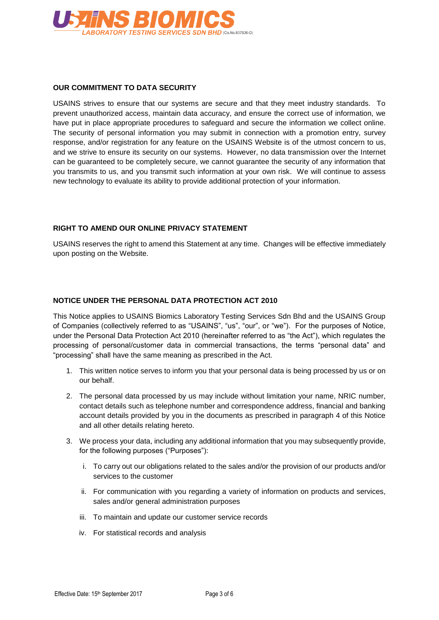

## **OUR COMMITMENT TO DATA SECURITY**

USAINS strives to ensure that our systems are secure and that they meet industry standards. To prevent unauthorized access, maintain data accuracy, and ensure the correct use of information, we have put in place appropriate procedures to safeguard and secure the information we collect online. The security of personal information you may submit in connection with a promotion entry, survey response, and/or registration for any feature on the USAINS Website is of the utmost concern to us, and we strive to ensure its security on our systems. However, no data transmission over the Internet can be guaranteed to be completely secure, we cannot guarantee the security of any information that you transmits to us, and you transmit such information at your own risk. We will continue to assess new technology to evaluate its ability to provide additional protection of your information.

# **RIGHT TO AMEND OUR ONLINE PRIVACY STATEMENT**

USAINS reserves the right to amend this Statement at any time. Changes will be effective immediately upon posting on the Website.

## **NOTICE UNDER THE PERSONAL DATA PROTECTION ACT 2010**

This Notice applies to USAINS Biomics Laboratory Testing Services Sdn Bhd and the USAINS Group of Companies (collectively referred to as "USAINS", "us", "our", or "we"). For the purposes of Notice, under the Personal Data Protection Act 2010 (hereinafter referred to as "the Act"), which regulates the processing of personal/customer data in commercial transactions, the terms "personal data" and "processing" shall have the same meaning as prescribed in the Act.

- 1. This written notice serves to inform you that your personal data is being processed by us or on our behalf.
- 2. The personal data processed by us may include without limitation your name, NRIC number, contact details such as telephone number and correspondence address, financial and banking account details provided by you in the documents as prescribed in paragraph 4 of this Notice and all other details relating hereto.
- 3. We process your data, including any additional information that you may subsequently provide, for the following purposes ("Purposes"):
	- i. To carry out our obligations related to the sales and/or the provision of our products and/or services to the customer
	- ii. For communication with you regarding a variety of information on products and services, sales and/or general administration purposes
	- iii. To maintain and update our customer service records
	- iv. For statistical records and analysis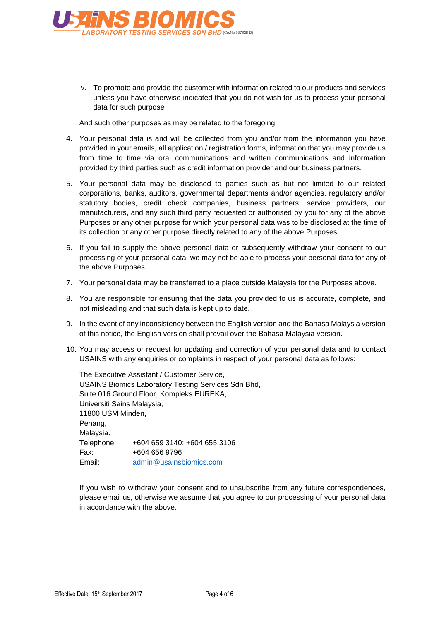

v. To promote and provide the customer with information related to our products and services unless you have otherwise indicated that you do not wish for us to process your personal data for such purpose

And such other purposes as may be related to the foregoing.

- 4. Your personal data is and will be collected from you and/or from the information you have provided in your emails, all application / registration forms, information that you may provide us from time to time via oral communications and written communications and information provided by third parties such as credit information provider and our business partners.
- 5. Your personal data may be disclosed to parties such as but not limited to our related corporations, banks, auditors, governmental departments and/or agencies, regulatory and/or statutory bodies, credit check companies, business partners, service providers, our manufacturers, and any such third party requested or authorised by you for any of the above Purposes or any other purpose for which your personal data was to be disclosed at the time of its collection or any other purpose directly related to any of the above Purposes.
- 6. If you fail to supply the above personal data or subsequently withdraw your consent to our processing of your personal data, we may not be able to process your personal data for any of the above Purposes.
- 7. Your personal data may be transferred to a place outside Malaysia for the Purposes above.
- 8. You are responsible for ensuring that the data you provided to us is accurate, complete, and not misleading and that such data is kept up to date.
- 9. In the event of any inconsistency between the English version and the Bahasa Malaysia version of this notice, the English version shall prevail over the Bahasa Malaysia version.
- 10. You may access or request for updating and correction of your personal data and to contact USAINS with any enquiries or complaints in respect of your personal data as follows:

The Executive Assistant / Customer Service, USAINS Biomics Laboratory Testing Services Sdn Bhd, Suite 016 Ground Floor, Kompleks EUREKA, Universiti Sains Malaysia, 11800 USM Minden, Penang, Malaysia. Telephone: +604 659 3140; +604 655 3106 Fax: +604 656 9796 Email: [admin@usainsbiomics.com](mailto:admin@usainsbiomics.com)

If you wish to withdraw your consent and to unsubscribe from any future correspondences, please email us, otherwise we assume that you agree to our processing of your personal data in accordance with the above.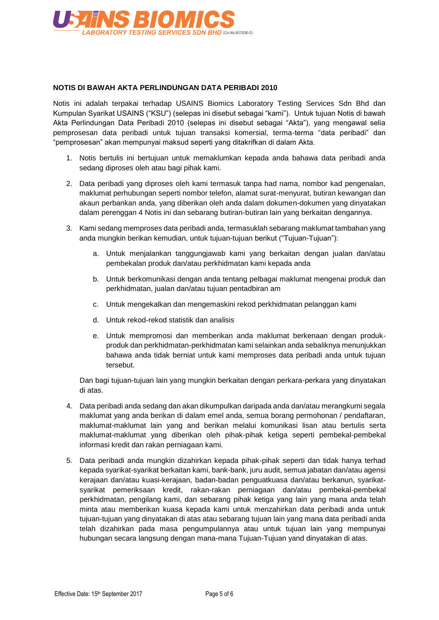

# **NOTIS DI BAWAH AKTA PERLINDUNGAN DATA PERIBADI 2010**

Notis ini adalah terpakai terhadap USAINS Biomics Laboratory Testing Services Sdn Bhd dan Kumpulan Syarikat USAINS ("KSU") (selepas ini disebut sebagai "kami"). Untuk tujuan Notis di bawah Akta Perlindungan Data Peribadi 2010 (selepas ini disebut sebagai "Akta"), yang mengawal selia pemprosesan data peribadi untuk tujuan transaksi komersial, terma-terma "data peribadi" dan "pemprosesan" akan mempunyai maksud seperti yang ditakrifkan di dalam Akta.

- 1. Notis bertulis ini bertujuan untuk memaklumkan kepada anda bahawa data peribadi anda sedang diproses oleh atau bagi pihak kami.
- 2. Data peribadi yang diproses oleh kami termasuk tanpa had nama, nombor kad pengenalan, maklumat perhubungan seperti nombor telefon, alamat surat-menyurat, butiran kewangan dan akaun perbankan anda, yang diberikan oleh anda dalam dokumen-dokumen yang dinyatakan dalam perenggan 4 Notis ini dan sebarang butiran-butiran lain yang berkaitan dengannya.
- 3. Kami sedang memproses data peribadi anda, termasuklah sebarang maklumat tambahan yang anda mungkin berikan kemudian, untuk tujuan-tujuan berikut ("Tujuan-Tujuan"):
	- a. Untuk menjalankan tanggungjawab kami yang berkaitan dengan jualan dan/atau pembekalan produk dan/atau perkhidmatan kami kepada anda
	- b. Untuk berkomunikasi dengan anda tentang pelbagai maklumat mengenai produk dan perkhidmatan, jualan dan/atau tujuan pentadbiran am
	- c. Untuk mengekalkan dan mengemaskini rekod perkhidmatan pelanggan kami
	- d. Untuk rekod-rekod statistik dan analisis
	- e. Untuk mempromosi dan memberikan anda maklumat berkenaan dengan produkproduk dan perkhidmatan-perkhidmatan kami selainkan anda sebaliknya menunjukkan bahawa anda tidak berniat untuk kami memproses data peribadi anda untuk tujuan tersebut.

Dan bagi tujuan-tujuan lain yang mungkin berkaitan dengan perkara-perkara yang dinyatakan di atas.

- 4. Data peribadi anda sedang dan akan dikumpulkan daripada anda dan/atau merangkumi segala maklumat yang anda berikan di dalam emel anda, semua borang permohonan / pendaftaran, maklumat-maklumat lain yang and berikan melalui komunikasi lisan atau bertulis serta maklumat-maklumat yang diberikan oleh pihak-pihak ketiga seperti pembekal-pembekal informasi kredit dan rakan perniagaan kami.
- 5. Data peribadi anda mungkin dizahirkan kepada pihak-pihak seperti dan tidak hanya terhad kepada syarikat-syarikat berkaitan kami, bank-bank, juru audit, semua jabatan dan/atau agensi kerajaan dan/atau kuasi-kerajaan, badan-badan penguatkuasa dan/atau berkanun, syarikatsyarikat pemeriksaan kredit, rakan-rakan perniagaan dan/atau pembekal-pembekal perkhidmatan, pengilang kami, dan sebarang pihak ketiga yang lain yang mana anda telah minta atau memberikan kuasa kepada kami untuk menzahirkan data peribadi anda untuk tujuan-tujuan yang dinyatakan di atas atau sebarang tujuan lain yang mana data peribadi anda telah dizahirkan pada masa pengumpulannya atau untuk tujuan lain yang mempunyai hubungan secara langsung dengan mana-mana Tujuan-Tujuan yand dinyatakan di atas.